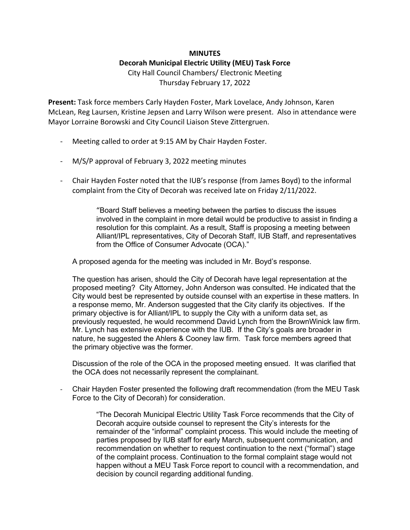## **MINUTES**

## **Decorah Municipal Electric Utility (MEU) Task Force**

City Hall Council Chambers/ Electronic Meeting Thursday February 17, 2022

**Present:** Task force members Carly Hayden Foster, Mark Lovelace, Andy Johnson, Karen McLean, Reg Laursen, Kristine Jepsen and Larry Wilson were present. Also in attendance were Mayor Lorraine Borowski and City Council Liaison Steve Zittergruen.

- Meeting called to order at 9:15 AM by Chair Hayden Foster.
- M/S/P approval of February 3, 2022 meeting minutes
- Chair Hayden Foster noted that the IUB's response (from James Boyd) to the informal complaint from the City of Decorah was received late on Friday 2/11/2022.

"Board Staff believes a meeting between the parties to discuss the issues involved in the complaint in more detail would be productive to assist in finding a resolution for this complaint. As a result, Staff is proposing a meeting between Alliant/IPL representatives, City of Decorah Staff, IUB Staff, and representatives from the Office of Consumer Advocate (OCA)."

A proposed agenda for the meeting was included in Mr. Boyd's response.

The question has arisen, should the City of Decorah have legal representation at the proposed meeting? City Attorney, John Anderson was consulted. He indicated that the City would best be represented by outside counsel with an expertise in these matters. In a response memo, Mr. Anderson suggested that the City clarify its objectives. If the primary objective is for Alliant/IPL to supply the City with a uniform data set, as previously requested, he would recommend David Lynch from the BrownWinick law firm. Mr. Lynch has extensive experience with the IUB. If the City's goals are broader in nature, he suggested the Ahlers & Cooney law firm. Task force members agreed that the primary objective was the former.

Discussion of the role of the OCA in the proposed meeting ensued. It was clarified that the OCA does not necessarily represent the complainant.

- Chair Hayden Foster presented the following draft recommendation (from the MEU Task Force to the City of Decorah) for consideration.

> "The Decorah Municipal Electric Utility Task Force recommends that the City of Decorah acquire outside counsel to represent the City's interests for the remainder of the "informal" complaint process. This would include the meeting of parties proposed by IUB staff for early March, subsequent communication, and recommendation on whether to request continuation to the next ("formal") stage of the complaint process. Continuation to the formal complaint stage would not happen without a MEU Task Force report to council with a recommendation, and decision by council regarding additional funding.